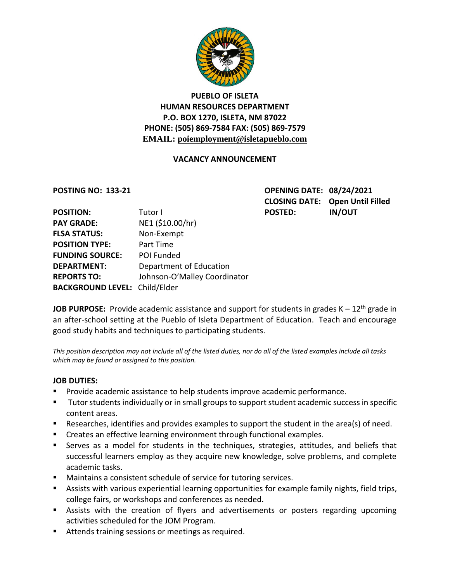

# **PUEBLO OF ISLETA HUMAN RESOURCES DEPARTMENT P.O. BOX 1270, ISLETA, NM 87022 PHONE: (505) 869-7584 FAX: (505) 869-7579 EMAIL: poiemployment@isletapueblo.com**

## **VACANCY ANNOUNCEMENT**

**POSTING NO: 133-21 OPENING DATE: 08/24/2021 CLOSING DATE: Open Until Filled** 

| <b>POSITION:</b>                     | Tutor I                      | <b>POSTED:</b> | <b>IN/OUT</b> |
|--------------------------------------|------------------------------|----------------|---------------|
| <b>PAY GRADE:</b>                    | NE1 (\$10.00/hr)             |                |               |
| <b>FLSA STATUS:</b>                  | Non-Exempt                   |                |               |
| <b>POSITION TYPE:</b>                | Part Time                    |                |               |
| <b>FUNDING SOURCE:</b>               | POI Funded                   |                |               |
| <b>DEPARTMENT:</b>                   | Department of Education      |                |               |
| <b>REPORTS TO:</b>                   | Johnson-O'Malley Coordinator |                |               |
| <b>BACKGROUND LEVEL: Child/Elder</b> |                              |                |               |

**JOB PURPOSE:** Provide academic assistance and support for students in grades  $K - 12<sup>th</sup>$  grade in an after-school setting at the Pueblo of Isleta Department of Education. Teach and encourage good study habits and techniques to participating students.

*This position description may not include all of the listed duties, nor do all of the listed examples include all tasks which may be found or assigned to this position.*

### **JOB DUTIES:**

- Provide academic assistance to help students improve academic performance.
- **Tutor students individually or in small groups to support student academic success in specific** content areas.
- Researches, identifies and provides examples to support the student in the area(s) of need.
- **EXTER** Creates an effective learning environment through functional examples.
- Serves as a model for students in the techniques, strategies, attitudes, and beliefs that successful learners employ as they acquire new knowledge, solve problems, and complete academic tasks.
- Maintains a consistent schedule of service for tutoring services.
- Assists with various experiential learning opportunities for example family nights, field trips, college fairs, or workshops and conferences as needed.
- Assists with the creation of flyers and advertisements or posters regarding upcoming activities scheduled for the JOM Program.
- **Attends training sessions or meetings as required.**